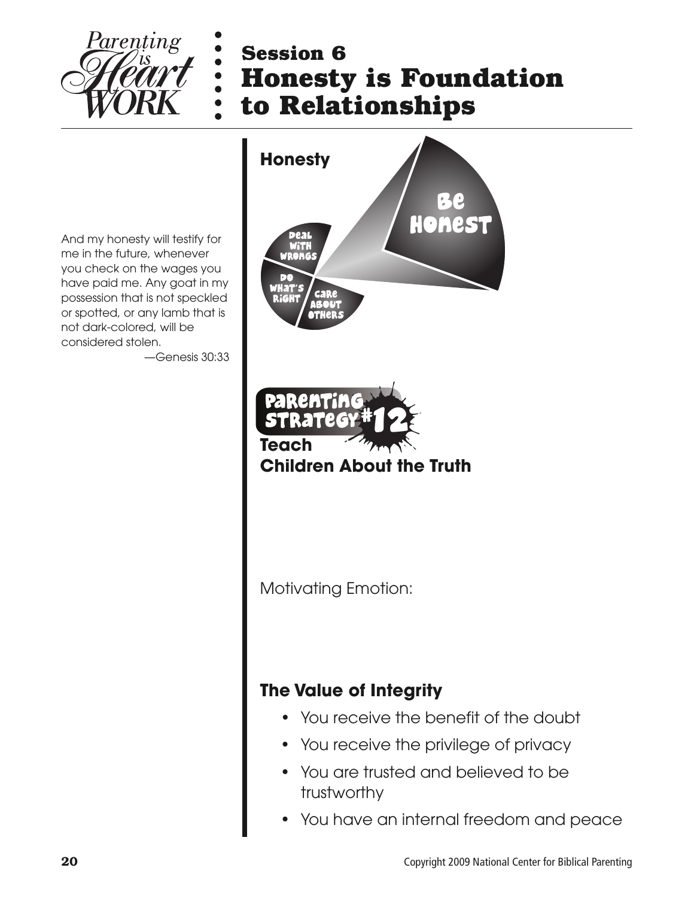

## **Session 6 Honesty is Foundation to Relationships**

And my honesty will testify for me in the future, whenever you check on the wages you have paid me. Any goat in my possession that is not speckled or spotted, or any lamb that is not dark-colored, will be considered stolen.

—Genesis 30:33



Motivating Emotion:

#### **The Value of Integrity**

- You receive the benefit of the doubt
- You receive the privilege of privacy
- You are trusted and believed to be trustworthy
- You have an internal freedom and peace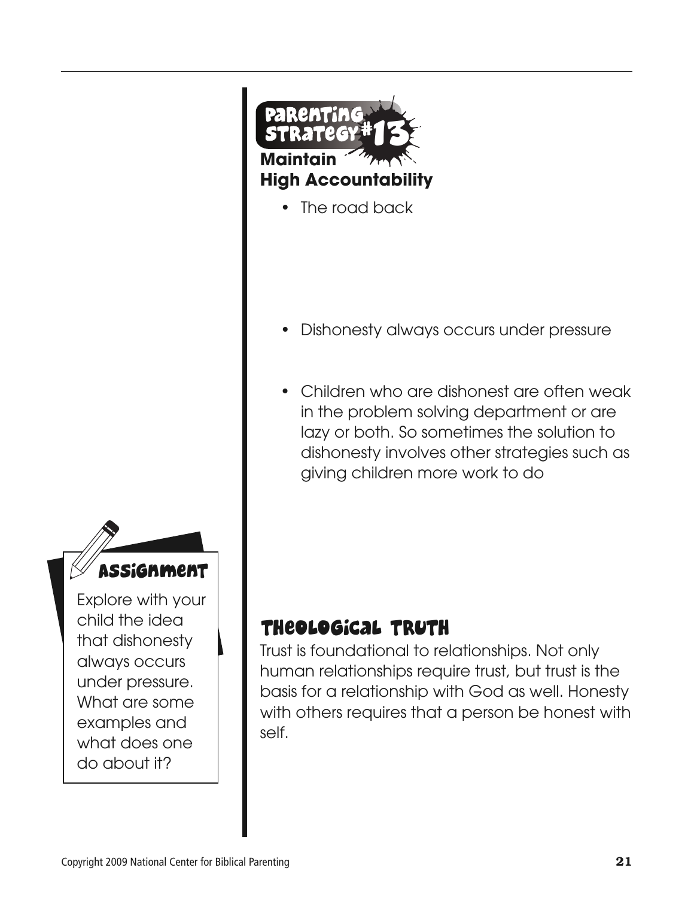



#### child the idea that dishonesty always occurs under pressure. What are some

examples and what does one

do about it?

Assignment Explore with your

- Dishonesty always occurs under pressure
- Children who are dishonest are often weak in the problem solving department or are lazy or both. So sometimes the solution to dishonesty involves other strategies such as giving children more work to do

#### Theological Truth

**Maintain**

**High Accountability**

The road back

13

Trust is foundational to relationships. Not only human relationships require trust, but trust is the basis for a relationship with God as well. Honesty with others requires that a person be honest with self.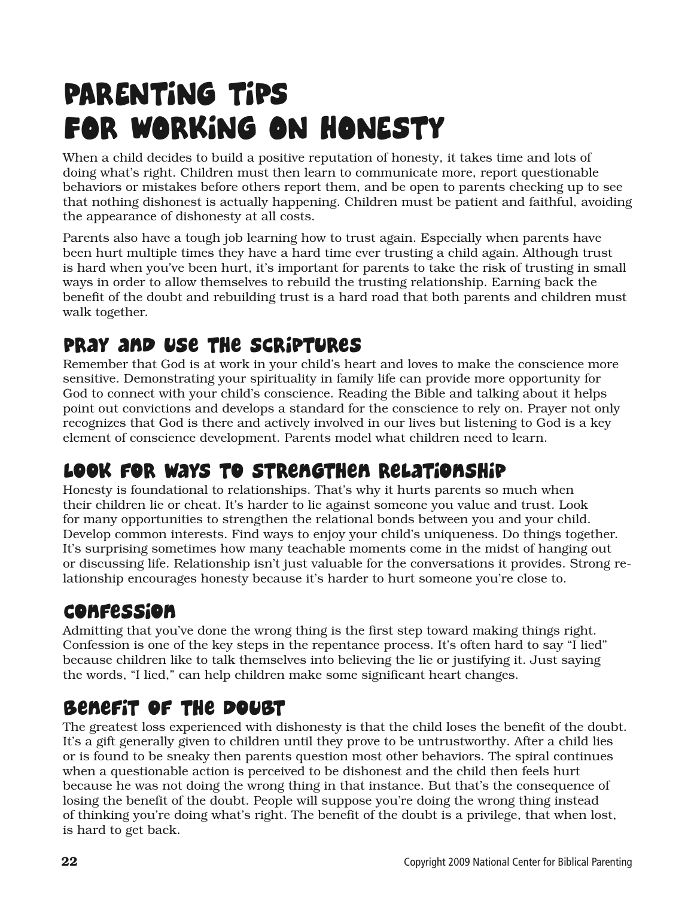# PARENTING TIPS FOR WORKING ON HONESTY

When a child decides to build a positive reputation of honesty, it takes time and lots of doing what's right. Children must then learn to communicate more, report questionable behaviors or mistakes before others report them, and be open to parents checking up to see that nothing dishonest is actually happening. Children must be patient and faithful, avoiding the appearance of dishonesty at all costs.

Parents also have a tough job learning how to trust again. Especially when parents have been hurt multiple times they have a hard time ever trusting a child again. Although trust is hard when you've been hurt, it's important for parents to take the risk of trusting in small ways in order to allow themselves to rebuild the trusting relationship. Earning back the benefit of the doubt and rebuilding trust is a hard road that both parents and children must walk together.

#### Pray and Use the Scriptures

Remember that God is at work in your child's heart and loves to make the conscience more sensitive. Demonstrating your spirituality in family life can provide more opportunity for God to connect with your child's conscience. Reading the Bible and talking about it helps point out convictions and develops a standard for the conscience to rely on. Prayer not only recognizes that God is there and actively involved in our lives but listening to God is a key element of conscience development. Parents model what children need to learn.

### Look for Ways to Strengthen Relationship

Honesty is foundational to relationships. That's why it hurts parents so much when their children lie or cheat. It's harder to lie against someone you value and trust. Look for many opportunities to strengthen the relational bonds between you and your child. Develop common interests. Find ways to enjoy your child's uniqueness. Do things together. It's surprising sometimes how many teachable moments come in the midst of hanging out or discussing life. Relationship isn't just valuable for the conversations it provides. Strong relationship encourages honesty because it's harder to hurt someone you're close to.

#### Confession

Admitting that you've done the wrong thing is the first step toward making things right. Confession is one of the key steps in the repentance process. It's often hard to say "I lied" because children like to talk themselves into believing the lie or justifying it. Just saying the words, "I lied," can help children make some significant heart changes.

#### Benefit of the Doubt

The greatest loss experienced with dishonesty is that the child loses the benefit of the doubt. It's a gift generally given to children until they prove to be untrustworthy. After a child lies or is found to be sneaky then parents question most other behaviors. The spiral continues when a questionable action is perceived to be dishonest and the child then feels hurt because he was not doing the wrong thing in that instance. But that's the consequence of losing the benefit of the doubt. People will suppose you're doing the wrong thing instead of thinking you're doing what's right. The benefit of the doubt is a privilege, that when lost, is hard to get back.